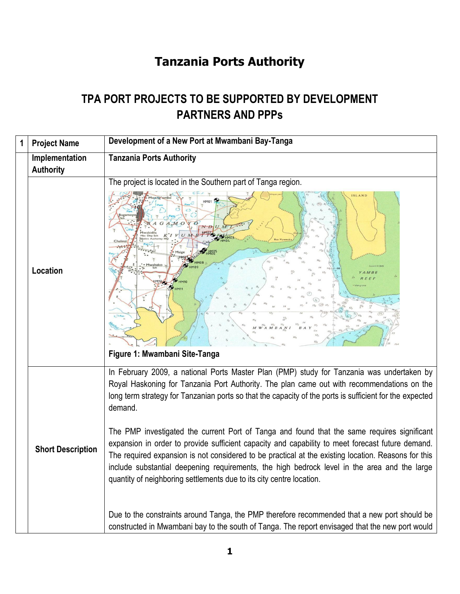## **Tanzania Ports Authority**

## **TPA PORT PROJECTS TO BE SUPPORTED BY DEVELOPMENT PARTNERS AND PPPs**

| 1 | <b>Project Name</b>      | Development of a New Port at Mwambani Bay-Tanga                                                                                                                                                                                                                                                                                                                                                                                                                                                                                                                                                                                                                                                                                                                                                                                                                                                                                                                                                    |
|---|--------------------------|----------------------------------------------------------------------------------------------------------------------------------------------------------------------------------------------------------------------------------------------------------------------------------------------------------------------------------------------------------------------------------------------------------------------------------------------------------------------------------------------------------------------------------------------------------------------------------------------------------------------------------------------------------------------------------------------------------------------------------------------------------------------------------------------------------------------------------------------------------------------------------------------------------------------------------------------------------------------------------------------------|
|   | Implementation           | <b>Tanzania Ports Authority</b>                                                                                                                                                                                                                                                                                                                                                                                                                                                                                                                                                                                                                                                                                                                                                                                                                                                                                                                                                                    |
|   | <b>Authority</b>         |                                                                                                                                                                                                                                                                                                                                                                                                                                                                                                                                                                                                                                                                                                                                                                                                                                                                                                                                                                                                    |
|   | Location                 | The project is located in the Southern part of Tanga region.<br>Figure 1: Mwambani Site-Tanga                                                                                                                                                                                                                                                                                                                                                                                                                                                                                                                                                                                                                                                                                                                                                                                                                                                                                                      |
|   | <b>Short Description</b> | In February 2009, a national Ports Master Plan (PMP) study for Tanzania was undertaken by<br>Royal Haskoning for Tanzania Port Authority. The plan came out with recommendations on the<br>long term strategy for Tanzanian ports so that the capacity of the ports is sufficient for the expected<br>demand.<br>The PMP investigated the current Port of Tanga and found that the same requires significant<br>expansion in order to provide sufficient capacity and capability to meet forecast future demand.<br>The required expansion is not considered to be practical at the existing location. Reasons for this<br>include substantial deepening requirements, the high bedrock level in the area and the large<br>quantity of neighboring settlements due to its city centre location.<br>Due to the constraints around Tanga, the PMP therefore recommended that a new port should be<br>constructed in Mwambani bay to the south of Tanga. The report envisaged that the new port would |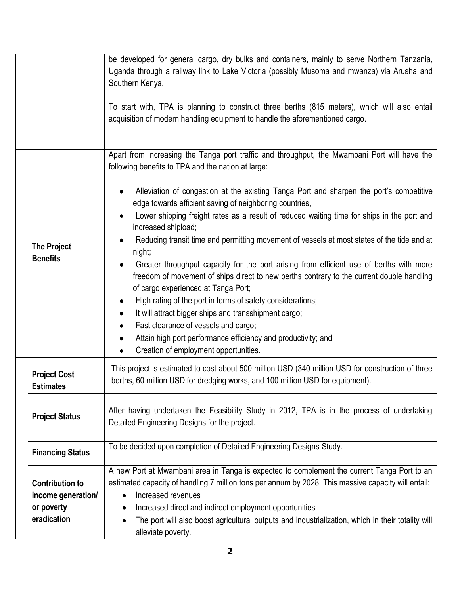|                                                                           | be developed for general cargo, dry bulks and containers, mainly to serve Northern Tanzania,<br>Uganda through a railway link to Lake Victoria (possibly Musoma and mwanza) via Arusha and<br>Southern Kenya.<br>To start with, TPA is planning to construct three berths (815 meters), which will also entail<br>acquisition of modern handling equipment to handle the aforementioned cargo.                                                                                                                                                                                                                                           |
|---------------------------------------------------------------------------|------------------------------------------------------------------------------------------------------------------------------------------------------------------------------------------------------------------------------------------------------------------------------------------------------------------------------------------------------------------------------------------------------------------------------------------------------------------------------------------------------------------------------------------------------------------------------------------------------------------------------------------|
|                                                                           | Apart from increasing the Tanga port traffic and throughput, the Mwambani Port will have the<br>following benefits to TPA and the nation at large:<br>Alleviation of congestion at the existing Tanga Port and sharpen the port's competitive<br>edge towards efficient saving of neighboring countries,<br>Lower shipping freight rates as a result of reduced waiting time for ships in the port and                                                                                                                                                                                                                                   |
| <b>The Project</b><br><b>Benefits</b>                                     | increased shipload;<br>Reducing transit time and permitting movement of vessels at most states of the tide and at<br>night;<br>Greater throughput capacity for the port arising from efficient use of berths with more<br>freedom of movement of ships direct to new berths contrary to the current double handling<br>of cargo experienced at Tanga Port;<br>High rating of the port in terms of safety considerations;<br>It will attract bigger ships and transshipment cargo;<br>Fast clearance of vessels and cargo;<br>Attain high port performance efficiency and productivity; and<br>Creation of employment opportunities.<br>٠ |
| <b>Project Cost</b><br><b>Estimates</b>                                   | This project is estimated to cost about 500 million USD (340 million USD for construction of three<br>berths, 60 million USD for dredging works, and 100 million USD for equipment).                                                                                                                                                                                                                                                                                                                                                                                                                                                     |
| <b>Project Status</b>                                                     | After having undertaken the Feasibility Study in 2012, TPA is in the process of undertaking<br>Detailed Engineering Designs for the project.                                                                                                                                                                                                                                                                                                                                                                                                                                                                                             |
| <b>Financing Status</b>                                                   | To be decided upon completion of Detailed Engineering Designs Study.                                                                                                                                                                                                                                                                                                                                                                                                                                                                                                                                                                     |
| <b>Contribution to</b><br>income generation/<br>or poverty<br>eradication | A new Port at Mwambani area in Tanga is expected to complement the current Tanga Port to an<br>estimated capacity of handling 7 million tons per annum by 2028. This massive capacity will entail:<br>Increased revenues<br>$\bullet$<br>Increased direct and indirect employment opportunities<br>٠<br>The port will also boost agricultural outputs and industrialization, which in their totality will<br>alleviate poverty.                                                                                                                                                                                                          |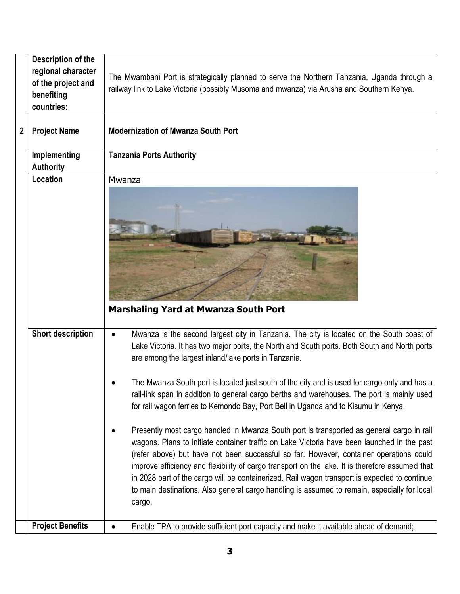|   | Description of the<br>regional character | The Mwambani Port is strategically planned to serve the Northern Tanzania, Uganda through a                                                                                                                                                                                                                                                                                                                                                                                                                                                                                                      |
|---|------------------------------------------|--------------------------------------------------------------------------------------------------------------------------------------------------------------------------------------------------------------------------------------------------------------------------------------------------------------------------------------------------------------------------------------------------------------------------------------------------------------------------------------------------------------------------------------------------------------------------------------------------|
|   | of the project and<br>benefiting         | railway link to Lake Victoria (possibly Musoma and mwanza) via Arusha and Southern Kenya.                                                                                                                                                                                                                                                                                                                                                                                                                                                                                                        |
|   | countries:                               |                                                                                                                                                                                                                                                                                                                                                                                                                                                                                                                                                                                                  |
| 2 | <b>Project Name</b>                      | <b>Modernization of Mwanza South Port</b>                                                                                                                                                                                                                                                                                                                                                                                                                                                                                                                                                        |
|   | Implementing                             | <b>Tanzania Ports Authority</b>                                                                                                                                                                                                                                                                                                                                                                                                                                                                                                                                                                  |
|   | <b>Authority</b>                         |                                                                                                                                                                                                                                                                                                                                                                                                                                                                                                                                                                                                  |
|   | Location                                 | Mwanza                                                                                                                                                                                                                                                                                                                                                                                                                                                                                                                                                                                           |
|   |                                          | <b>Marshaling Yard at Mwanza South Port</b>                                                                                                                                                                                                                                                                                                                                                                                                                                                                                                                                                      |
|   | <b>Short description</b>                 | Mwanza is the second largest city in Tanzania. The city is located on the South coast of<br>$\bullet$<br>Lake Victoria. It has two major ports, the North and South ports. Both South and North ports<br>are among the largest inland/lake ports in Tanzania.<br>The Mwanza South port is located just south of the city and is used for cargo only and has a                                                                                                                                                                                                                                    |
|   |                                          | rail-link span in addition to general cargo berths and warehouses. The port is mainly used<br>for rail wagon ferries to Kemondo Bay, Port Bell in Uganda and to Kisumu in Kenya.                                                                                                                                                                                                                                                                                                                                                                                                                 |
|   |                                          | Presently most cargo handled in Mwanza South port is transported as general cargo in rail<br>wagons. Plans to initiate container traffic on Lake Victoria have been launched in the past<br>(refer above) but have not been successful so far. However, container operations could<br>improve efficiency and flexibility of cargo transport on the lake. It is therefore assumed that<br>in 2028 part of the cargo will be containerized. Rail wagon transport is expected to continue<br>to main destinations. Also general cargo handling is assumed to remain, especially for local<br>cargo. |
|   | <b>Project Benefits</b>                  | Enable TPA to provide sufficient port capacity and make it available ahead of demand;                                                                                                                                                                                                                                                                                                                                                                                                                                                                                                            |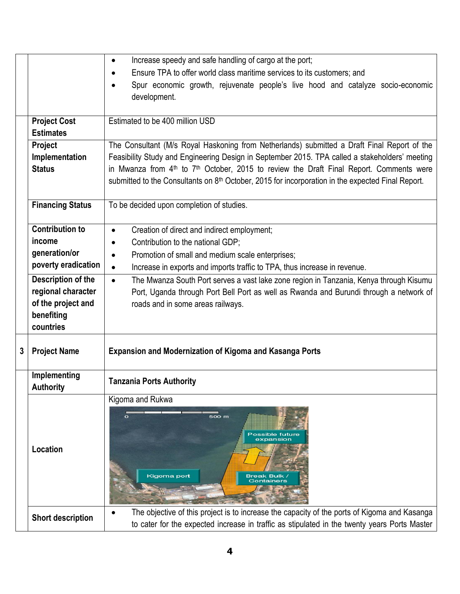|   |                                  | Increase speedy and safe handling of cargo at the port;<br>$\bullet$                                                                                                                         |
|---|----------------------------------|----------------------------------------------------------------------------------------------------------------------------------------------------------------------------------------------|
|   |                                  | Ensure TPA to offer world class maritime services to its customers; and<br>$\bullet$                                                                                                         |
|   |                                  | Spur economic growth, rejuvenate people's live hood and catalyze socio-economic<br>development.                                                                                              |
|   | <b>Project Cost</b>              | Estimated to be 400 million USD                                                                                                                                                              |
|   | <b>Estimates</b>                 |                                                                                                                                                                                              |
|   | Project                          | The Consultant (M/s Royal Haskoning from Netherlands) submitted a Draft Final Report of the                                                                                                  |
|   | Implementation                   | Feasibility Study and Engineering Design in September 2015. TPA called a stakeholders' meeting                                                                                               |
|   | <b>Status</b>                    | in Mwanza from 4 <sup>th</sup> to 7 <sup>th</sup> October, 2015 to review the Draft Final Report. Comments were                                                                              |
|   |                                  | submitted to the Consultants on 8 <sup>th</sup> October, 2015 for incorporation in the expected Final Report.                                                                                |
|   | <b>Financing Status</b>          | To be decided upon completion of studies.                                                                                                                                                    |
|   | <b>Contribution to</b>           | Creation of direct and indirect employment;<br>$\bullet$                                                                                                                                     |
|   | income                           | Contribution to the national GDP;<br>$\bullet$                                                                                                                                               |
|   | generation/or                    | Promotion of small and medium scale enterprises;<br>$\bullet$                                                                                                                                |
|   | poverty eradication              | Increase in exports and imports traffic to TPA, thus increase in revenue.<br>$\bullet$                                                                                                       |
|   | Description of the               | The Mwanza South Port serves a vast lake zone region in Tanzania, Kenya through Kisumu<br>$\bullet$                                                                                          |
|   | regional character               | Port, Uganda through Port Bell Port as well as Rwanda and Burundi through a network of                                                                                                       |
|   | of the project and               | roads and in some areas railways.                                                                                                                                                            |
|   | benefiting                       |                                                                                                                                                                                              |
|   | countries                        |                                                                                                                                                                                              |
| 3 | <b>Project Name</b>              | <b>Expansion and Modernization of Kigoma and Kasanga Ports</b>                                                                                                                               |
|   | Implementing<br><b>Authority</b> | <b>Tanzania Ports Authority</b>                                                                                                                                                              |
|   | Location                         | Kigoma and Rukwa<br>500 m<br>Possible future<br>expansion<br>Kigoma port<br>Break Bulk<br>Containers                                                                                         |
|   | <b>Short description</b>         | The objective of this project is to increase the capacity of the ports of Kigoma and Kasanga<br>to cater for the expected increase in traffic as stipulated in the twenty years Ports Master |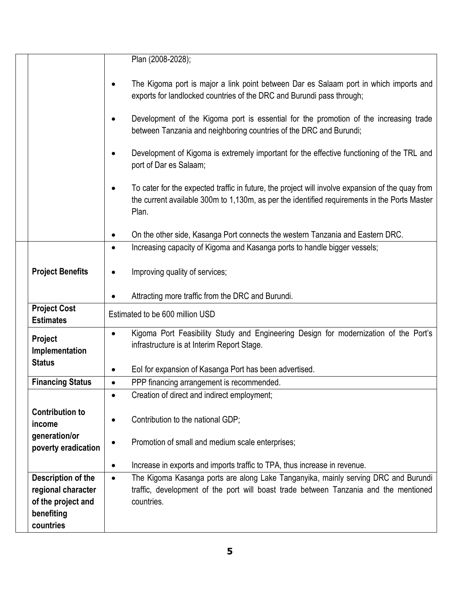|                                         | Plan (2008-2028);                                                                                                                                                                                         |
|-----------------------------------------|-----------------------------------------------------------------------------------------------------------------------------------------------------------------------------------------------------------|
|                                         | The Kigoma port is major a link point between Dar es Salaam port in which imports and<br>exports for landlocked countries of the DRC and Burundi pass through;                                            |
|                                         | Development of the Kigoma port is essential for the promotion of the increasing trade<br>between Tanzania and neighboring countries of the DRC and Burundi;                                               |
|                                         | Development of Kigoma is extremely important for the effective functioning of the TRL and<br>port of Dar es Salaam;                                                                                       |
|                                         | To cater for the expected traffic in future, the project will involve expansion of the quay from<br>the current available 300m to 1,130m, as per the identified requirements in the Ports Master<br>Plan. |
|                                         | On the other side, Kasanga Port connects the western Tanzania and Eastern DRC.                                                                                                                            |
|                                         | Increasing capacity of Kigoma and Kasanga ports to handle bigger vessels;<br>$\bullet$                                                                                                                    |
| <b>Project Benefits</b>                 | Improving quality of services;                                                                                                                                                                            |
|                                         | Attracting more traffic from the DRC and Burundi.                                                                                                                                                         |
| <b>Project Cost</b><br><b>Estimates</b> | Estimated to be 600 million USD                                                                                                                                                                           |
| Project<br>Implementation               | Kigoma Port Feasibility Study and Engineering Design for modernization of the Port's<br>infrastructure is at Interim Report Stage.                                                                        |
| <b>Status</b>                           | Eol for expansion of Kasanga Port has been advertised.                                                                                                                                                    |
| <b>Financing Status</b>                 | PPP financing arrangement is recommended.<br>$\bullet$                                                                                                                                                    |
|                                         | Creation of direct and indirect employment;                                                                                                                                                               |
| <b>Contribution to</b><br>income        | Contribution to the national GDP;                                                                                                                                                                         |
| generation/or<br>poverty eradication    | Promotion of small and medium scale enterprises;                                                                                                                                                          |
|                                         | Increase in exports and imports traffic to TPA, thus increase in revenue.<br>٠                                                                                                                            |
| <b>Description of the</b>               | The Kigoma Kasanga ports are along Lake Tanganyika, mainly serving DRC and Burundi<br>$\bullet$                                                                                                           |
| regional character                      | traffic, development of the port will boast trade between Tanzania and the mentioned                                                                                                                      |
| of the project and<br>benefiting        | countries.                                                                                                                                                                                                |
| countries                               |                                                                                                                                                                                                           |
|                                         |                                                                                                                                                                                                           |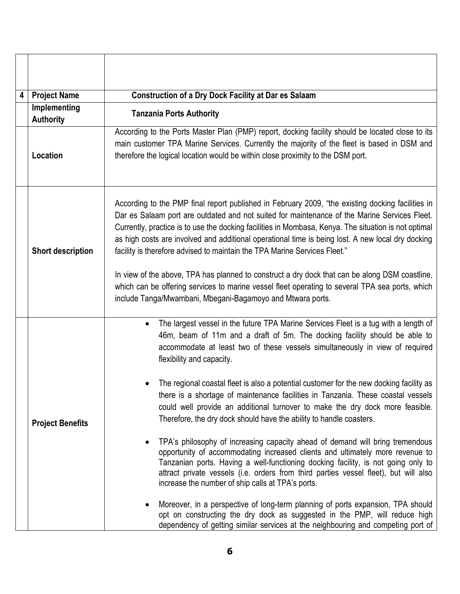| 4 | <b>Project Name</b>              | <b>Construction of a Dry Dock Facility at Dar es Salaam</b>                                                                                                                                                                                                                                                                                                                                                                                                                                                                                                                                                                                                                                                                                                                                                                                                                                                                                                                                                                                                                                                                                                                                                                                                                                  |
|---|----------------------------------|----------------------------------------------------------------------------------------------------------------------------------------------------------------------------------------------------------------------------------------------------------------------------------------------------------------------------------------------------------------------------------------------------------------------------------------------------------------------------------------------------------------------------------------------------------------------------------------------------------------------------------------------------------------------------------------------------------------------------------------------------------------------------------------------------------------------------------------------------------------------------------------------------------------------------------------------------------------------------------------------------------------------------------------------------------------------------------------------------------------------------------------------------------------------------------------------------------------------------------------------------------------------------------------------|
|   | Implementing<br><b>Authority</b> | <b>Tanzania Ports Authority</b>                                                                                                                                                                                                                                                                                                                                                                                                                                                                                                                                                                                                                                                                                                                                                                                                                                                                                                                                                                                                                                                                                                                                                                                                                                                              |
|   | Location                         | According to the Ports Master Plan (PMP) report, docking facility should be located close to its<br>main customer TPA Marine Services. Currently the majority of the fleet is based in DSM and<br>therefore the logical location would be within close proximity to the DSM port.                                                                                                                                                                                                                                                                                                                                                                                                                                                                                                                                                                                                                                                                                                                                                                                                                                                                                                                                                                                                            |
|   | <b>Short description</b>         | According to the PMP final report published in February 2009, "the existing docking facilities in<br>Dar es Salaam port are outdated and not suited for maintenance of the Marine Services Fleet.<br>Currently, practice is to use the docking facilities in Mombasa, Kenya. The situation is not optimal<br>as high costs are involved and additional operational time is being lost. A new local dry docking<br>facility is therefore advised to maintain the TPA Marine Services Fleet."<br>In view of the above, TPA has planned to construct a dry dock that can be along DSM coastline,<br>which can be offering services to marine vessel fleet operating to several TPA sea ports, which<br>include Tanga/Mwambani, Mbegani-Bagamoyo and Mtwara ports.                                                                                                                                                                                                                                                                                                                                                                                                                                                                                                                               |
|   | <b>Project Benefits</b>          | The largest vessel in the future TPA Marine Services Fleet is a tug with a length of<br>$\bullet$<br>46m, beam of 11m and a draft of 5m. The docking facility should be able to<br>accommodate at least two of these vessels simultaneously in view of required<br>flexibility and capacity.<br>The regional coastal fleet is also a potential customer for the new docking facility as<br>there is a shortage of maintenance facilities in Tanzania. These coastal vessels<br>could well provide an additional turnover to make the dry dock more feasible.<br>Therefore, the dry dock should have the ability to handle coasters.<br>TPA's philosophy of increasing capacity ahead of demand will bring tremendous<br>opportunity of accommodating increased clients and ultimately more revenue to<br>Tanzanian ports. Having a well-functioning docking facility, is not going only to<br>attract private vessels (i.e. orders from third parties vessel fleet), but will also<br>increase the number of ship calls at TPA's ports.<br>Moreover, in a perspective of long-term planning of ports expansion, TPA should<br>opt on constructing the dry dock as suggested in the PMP, will reduce high<br>dependency of getting similar services at the neighbouring and competing port of |